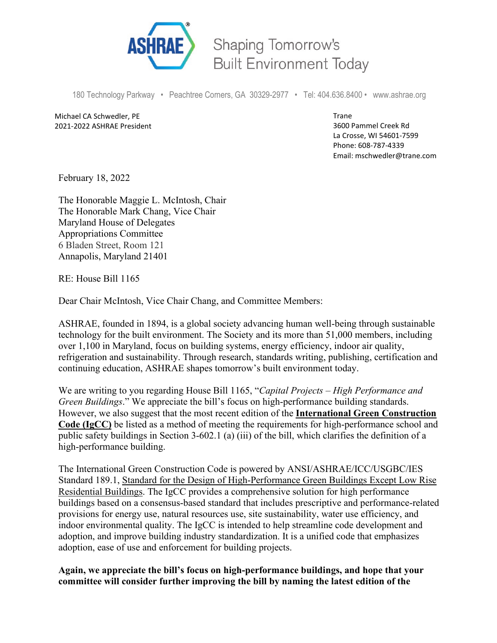

Shaping Tomorrow's **Built Environment Today** 

180 Technology Parkway • Peachtree Corners, GA 30329-2977 • Tel: 404.636.8400 • www.ashrae.org

Michael CA Schwedler, PE 2021-2022 ASHRAE President Trane 3600 Pammel Creek Rd La Crosse, WI 54601-7599 Phone: 608-787-4339 Email: mschwedler@trane.com

February 18, 2022

The Honorable Maggie L. McIntosh, Chair The Honorable Mark Chang, Vice Chair Maryland House of Delegates Appropriations Committee 6 Bladen Street, Room 121 Annapolis, Maryland 21401

RE: House Bill 1165

Dear Chair McIntosh, Vice Chair Chang, and Committee Members:

ASHRAE, founded in 1894, is a global society advancing human well-being through sustainable technology for the built environment. The Society and its more than 51,000 members, including over 1,100 in Maryland, focus on building systems, energy efficiency, indoor air quality, refrigeration and sustainability. Through research, standards writing, publishing, certification and continuing education, ASHRAE shapes tomorrow's built environment today.

We are writing to you regarding House Bill 1165, "*Capital Projects – High Performance and Green Buildings*." We appreciate the bill's focus on high-performance building standards. However, we also suggest that the most recent edition of the **International Green Construction Code (IgCC)** be listed as a method of meeting the requirements for high-performance school and public safety buildings in Section 3-602.1 (a) (iii) of the bill, which clarifies the definition of a high-performance building.

The International Green Construction Code is powered by ANSI/ASHRAE/ICC/USGBC/IES Standard 189.1, Standard for the Design of High-Performance Green Buildings Except Low Rise Residential Buildings. The IgCC provides a comprehensive solution for high performance buildings based on a consensus-based standard that includes prescriptive and performance-related provisions for energy use, natural resources use, site sustainability, water use efficiency, and indoor environmental quality. The IgCC is intended to help streamline code development and adoption, and improve building industry standardization. It is a unified code that emphasizes adoption, ease of use and enforcement for building projects.

**Again, we appreciate the bill's focus on high-performance buildings, and hope that your committee will consider further improving the bill by naming the latest edition of the**